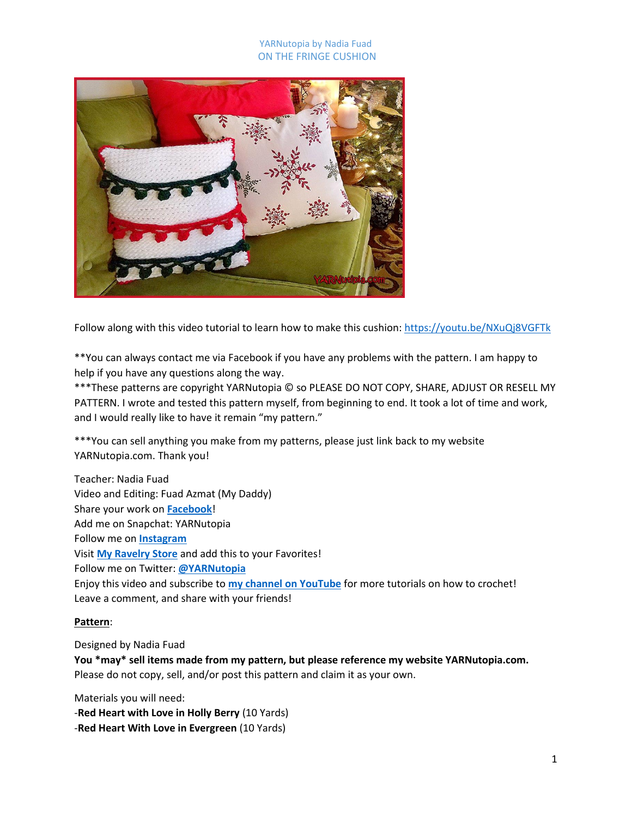### YARNutopia by Nadia Fuad ON THE FRINGE CUSHION



Follow along with this video tutorial to learn how to make this cushion: <https://youtu.be/NXuQj8VGFTk>

\*\*You can always contact me via Facebook if you have any problems with the pattern. I am happy to help if you have any questions along the way.

\*\*\*These patterns are copyright YARNutopia © so PLEASE DO NOT COPY, SHARE, ADJUST OR RESELL MY PATTERN. I wrote and tested this pattern myself, from beginning to end. It took a lot of time and work, and I would really like to have it remain "my pattern."

\*\*\*You can sell anything you make from my patterns, please just link back to my website YARNutopia.com. Thank you!

Teacher: Nadia Fuad Video and Editing: Fuad Azmat (My Daddy) Share your work on **[Facebook](https://www.facebook.com/YARNutopiabyNadiaFuad/)**! Add me on Snapchat: YARNutopia Follow me on **[Instagram](https://www.instagram.com/yarnutopiabynadiafuad/)** Visit **[My Ravelry Store](http://www.ravelry.com/designers/nadia-fuad)** and add this to your Favorites! Follow me on Twitter: **[@YARNutopia](https://twitter.com/yarnutopia)** Enjoy this video and subscribe to **[my channel on YouTube](https://www.youtube.com/channel/UCzmagS2JwfR2li-COH6ixoQ)** for more tutorials on how to crochet! Leave a comment, and share with your friends!

### **Pattern**:

Designed by Nadia Fuad

**You \*may\* sell items made from my pattern, but please reference my website YARNutopia.com.** Please do not copy, sell, and/or post this pattern and claim it as your own.

Materials you will need: -**Red Heart with Love in Holly Berry** (10 Yards) -**Red Heart With Love in Evergreen** (10 Yards)